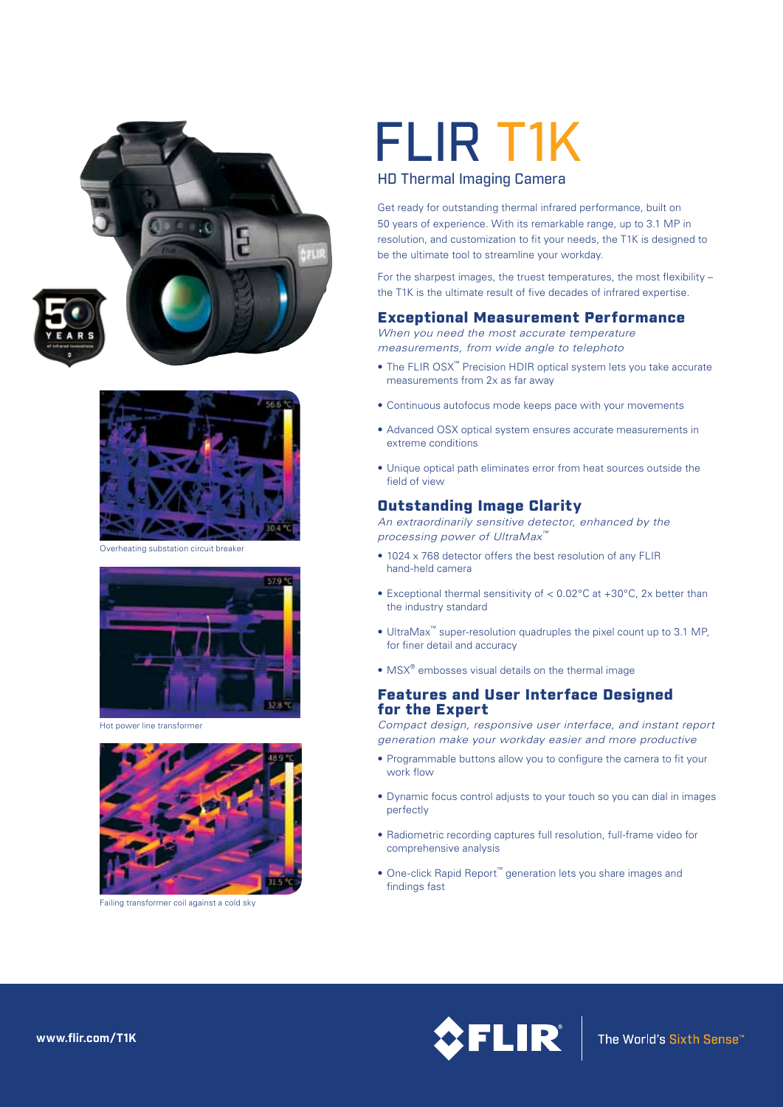



Overheating substation circuit breaker



Hot power line transformer



Failing transformer coil against a cold sky

# FLIR T1K

#### HD Thermal Imaging Camera

Get ready for outstanding thermal infrared performance, built on 50 years of experience. With its remarkable range, up to 3.1 MP in resolution, and customization to fit your needs, the T1K is designed to be the ultimate tool to streamline your workday.

For the sharpest images, the truest temperatures, the most flexibility – the T1K is the ultimate result of five decades of infrared expertise.

#### Exceptional Measurement Performance

*When you need the most accurate temperature measurements, from wide angle to telephoto*

- The FLIR OSX<sup>™</sup> Precision HDIR optical system lets you take accurate measurements from 2x as far away
- • Continuous autofocus mode keeps pace with your movements
- Advanced OSX optical system ensures accurate measurements in extreme conditions
- • Unique optical path eliminates error from heat sources outside the field of view

#### Outstanding Image Clarity

*An extraordinarily sensitive detector, enhanced by the processing power of UltraMax™*

- 1024 x 768 detector offers the best resolution of any FLIR hand-held camera
- Exceptional thermal sensitivity of  $< 0.02$ °C at +30°C, 2x better than the industry standard
- • UltraMax™ super-resolution quadruples the pixel count up to 3.1 MP, for finer detail and accuracy
- MSX<sup>®</sup> embosses visual details on the thermal image

#### Features and User Interface Designed for the Expert

*Compact design, responsive user interface, and instant report generation make your workday easier and more productive*

- Programmable buttons allow you to configure the camera to fit your work flow
- Dynamic focus control adjusts to your touch so you can dial in images perfectly
- Radiometric recording captures full resolution, full-frame video for comprehensive analysis
- • One-click Rapid Report™ generation lets you share images and findings fast